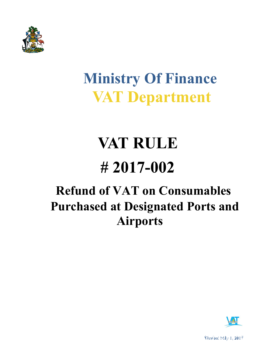

# **Ministry Of Finance VAT Department**

# **VAT RULE # 2017-002**

# **Refund of VAT on Consumables Purchased at Designated Ports and Airports**



Version: May 1, 2017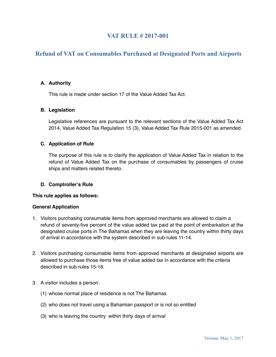### **VAT RULE # 2017-001**

## **Refund of VAT on Consumables Purchased at Designated Ports and Airports**

#### **A. Authority**

This rule is made under section 17 of the Value Added Tax Act.

#### **B. Legislation**

Legislative references are pursuant to the relevant sections of the Value Added Tax Act 2014, Value Added Tax Regulation 15 (3), Value Added Tax Rule 2015-001 as amended.

#### **C. Application of Rule**

The purpose of this rule is to clarify the application of Value Added Tax in relation to the refund of Value Added Tax on the purchase of consumables by passengers of cruise ships and matters related thereto.

#### **D. Comptroller's Rule**

#### **This rule applies as follows:**

#### **General Application**

- 1. Visitors purchasing consumable items from approved merchants are allowed to claim a refund of seventy-five percent of the value added tax paid at the point of embarkation at the designated cruise ports in The Bahamas when they are leaving the country within thirty days of arrival in accordance with the system described in sub-rules 11-14.
- 2. Visitors purchasing consumable items from approved merchants at designated airports are allowed to purchase those items free of value added tax in accordance with the criteria described in sub-rules 15-16.
- 3. A visitor includes a person:
	- (1) whose normal place of residence is not The Bahamas
	- (2) who does not travel using a Bahamian passport or is not so entitled
	- (3) who is leaving the country within thirty days of arrival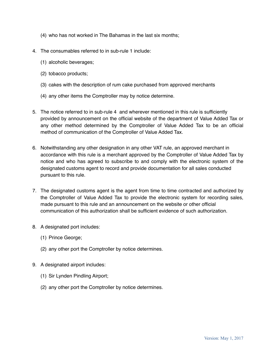- (4) who has not worked in The Bahamas in the last six months;
- 4. The consumables referred to in sub-rule 1 include:
	- (1) alcoholic beverages;
	- (2) tobacco products;
	- (3) cakes with the description of rum cake purchased from approved merchants
	- (4) any other items the Comptroller may by notice determine.
- 5. The notice referred to in sub-rule 4 and wherever mentioned in this rule is sufficiently provided by announcement on the official website of the department of Value Added Tax or any other method determined by the Comptroller of Value Added Tax to be an official method of communication of the Comptroller of Value Added Tax.
- 6. Notwithstanding any other designation in any other VAT rule, an approved merchant in accordance with this rule is a merchant approved by the Comptroller of Value Added Tax by notice and who has agreed to subscribe to and comply with the electronic system of the designated customs agent to record and provide documentation for all sales conducted pursuant to this rule.
- 7. The designated customs agent is the agent from time to time contracted and authorized by the Comptroller of Value Added Tax to provide the electronic system for recording sales, made pursuant to this rule and an announcement on the website or other official communication of this authorization shall be sufficient evidence of such authorization.
- 8. A designated port includes:
	- (1) Prince George;
	- (2) any other port the Comptroller by notice determines.
- 9. A designated airport includes:
	- (1) Sir Lynden Pindling Airport;
	- (2) any other port the Comptroller by notice determines.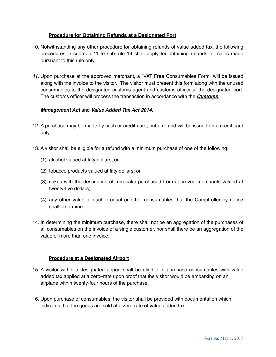#### **Procedure for Obtaining Refunds at a Designated Port**

- 10. Notwithstanding any other procedure for obtaining refunds of value added tax, the following procedures in sub-rule 11 to sub-rule 14 shall apply for obtaining refunds for sales made pursuant to this rule only.
- *11.* Upon purchase at the approved merchant, a "VAT Free Consumables Form" will be issued along with the invoice to the visitor. The visitor must present this form along with the unused consumables to the designated customs agent and customs officer at the designated port. The customs officer will process the transaction in accordance with the *Customs*

#### *Management Act* and *Value Added Tax Act 2014.*

- 12. A purchase may be made by cash or credit card, but a refund will be issued on a credit card only.
- 13. A visitor shall be eligible for a refund with a minimum purchase of one of the following:
	- (1) alcohol valued at fifty dollars; or
	- (2) tobacco products valued at fifty dollars; or
	- (3) cakes with the description of rum cake purchased from approved merchants valued at twenty-five dollars;
	- (4) any other value of each product or other consumables that the Comptroller by notice shall determine.
- 14. In determining the minimum purchase, there shall not be an aggregation of the purchases of all consumables on the invoice of a single customer, nor shall there be an aggregation of the value of more than one invoice.

#### **Procedure at a Designated Airport**

- 15. A visitor within a designated airport shall be eligible to purchase consumables with value added tax applied at a zero–rate upon proof that the visitor would be embarking on an airplane within twenty-four hours of the purchase.
- 16. Upon purchase of consumables, the visitor shall be provided with documentation which indicates that the goods are sold at a zero-rate of value added tax.